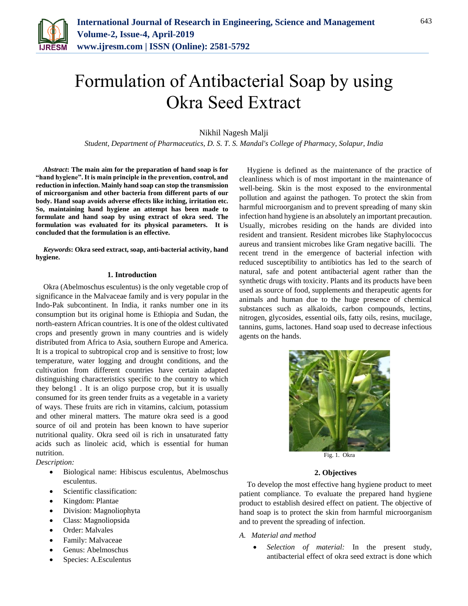

# Formulation of Antibacterial Soap by using Okra Seed Extract

Nikhil Nagesh Malji

*Student, Department of Pharmaceutics, D. S. T. S. Mandal's College of Pharmacy, Solapur, India*

*Abstract***: The main aim for the preparation of hand soap is for "hand hygiene". It is main principle in the prevention, control, and reduction in infection. Mainly hand soap can stop the transmission of microorganism and other bacteria from different parts of our body. Hand soap avoids adverse effects like itching, irritation etc. So, maintaining hand hygiene an attempt has been made to formulate and hand soap by using extract of okra seed. The formulation was evaluated for its physical parameters. It is concluded that the formulation is an effective.**

*Keywords***: Okra seed extract, soap, anti-bacterial activity, hand hygiene.**

#### **1. Introduction**

Okra (Abelmoschus esculentus) is the only vegetable crop of significance in the Malvaceae family and is very popular in the Indo-Pak subcontinent. In India, it ranks number one in its consumption but its original home is Ethiopia and Sudan, the north-eastern African countries. It is one of the oldest cultivated crops and presently grown in many countries and is widely distributed from Africa to Asia, southern Europe and America. It is a tropical to subtropical crop and is sensitive to frost; low temperature, water logging and drought conditions, and the cultivation from different countries have certain adapted distinguishing characteristics specific to the country to which they belong1 . It is an oligo purpose crop, but it is usually consumed for its green tender fruits as a vegetable in a variety of ways. These fruits are rich in vitamins, calcium, potassium and other mineral matters. The mature okra seed is a good source of oil and protein has been known to have superior nutritional quality. Okra seed oil is rich in unsaturated fatty acids such as linoleic acid, which is essential for human nutrition.

*Description:* 

- Biological name: Hibiscus esculentus, Abelmoschus esculentus.
- Scientific classification:
- Kingdom: Plantae
- Division: Magnoliophyta
- Class: Magnoliopsida
- Order: Malvales
- Family: Malvaceae
- Genus: Abelmoschus
- Species: A.Esculentus

Hygiene is defined as the maintenance of the practice of cleanliness which is of most important in the maintenance of well-being. Skin is the most exposed to the environmental pollution and against the pathogen. To protect the skin from harmful microorganism and to prevent spreading of many skin infection hand hygiene is an absolutely an important precaution. Usually, microbes residing on the hands are divided into resident and transient. Resident microbes like Staphylococcus aureus and transient microbes like Gram negative bacilli. The recent trend in the emergence of bacterial infection with reduced susceptibility to antibiotics has led to the search of natural, safe and potent antibacterial agent rather than the synthetic drugs with toxicity. Plants and its products have been used as source of food, supplements and therapeutic agents for animals and human due to the huge presence of chemical substances such as alkaloids, carbon compounds, lectins, nitrogen, glycosides, essential oils, fatty oils, resins, mucilage, tannins, gums, lactones. Hand soap used to decrease infectious agents on the hands.



### **2. Objectives**

To develop the most effective hang hygiene product to meet patient compliance. To evaluate the prepared hand hygiene product to establish desired effect on patient. The objective of hand soap is to protect the skin from harmful microorganism and to prevent the spreading of infection.

- *A. Material and method*
	- *Selection of material:* In the present study, antibacterial effect of okra seed extract is done which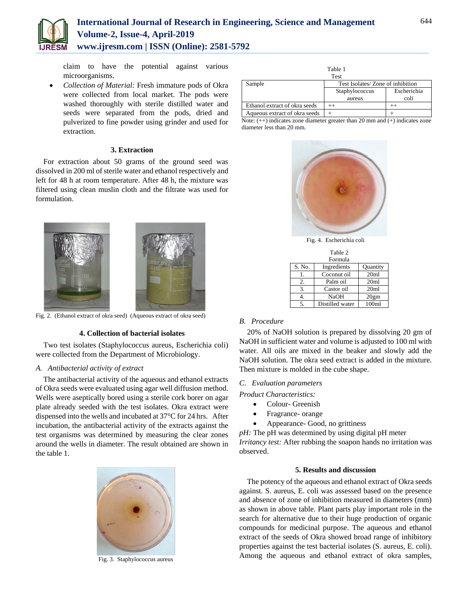

# **International Journal of Research in Engineering, Science and Management Volume-2, Issue-4, April-2019 www.ijresm.com | ISSN (Online): 2581-5792**

claim to have the potential against various microorganisms.

 *Collection of Material:* Fresh immature pods of Okra were collected from local market. The pods were washed thoroughly with sterile distilled water and seeds were separated from the pods, dried and pulverized to fine powder using grinder and used for extraction.

#### **3. Extraction**

For extraction about 50 grams of the ground seed was dissolved in 200 ml of sterile water and ethanol respectively and left for 48 h at room temperature. After 48 h, the mixture was filtered using clean muslin cloth and the filtrate was used for formulation.



Fig. 2. (Ethanol extract of okra seed) (Aqueous extract of okra seed)

#### **4. Collection of bacterial isolates**

Two test isolates (Staphylococcus aureus, Escherichia coli) were collected from the Department of Microbiology.

# *A. Antibacterial activity of extract*

The antibacterial activity of the aqueous and ethanol extracts of Okra seeds were evaluated using agar well diffusion method. Wells were aseptically bored using a sterile cork borer on agar plate already seeded with the test isolates. Okra extract were dispensed into the wells and incubated at 37°C for 24 hrs. After incubation, the antibacterial activity of the extracts against the test organisms was determined by measuring the clear zones around the wells in diameter. The result obtained are shown in the table 1.



Fig. 3. Staphylococcus aureus

| Table 1<br><b>Test</b>        |                                  |             |  |
|-------------------------------|----------------------------------|-------------|--|
| Sample                        | Test Isolates/Zone of inhibition |             |  |
|                               | Staphylococcus                   | Escherichia |  |
|                               | aureus                           | coli        |  |
| Ethanol extract of okra seeds |                                  |             |  |
| Aqueous extract of okra seeds |                                  |             |  |

Note: (++) indicates zone diameter greater than 20 mm and (+) indicates zone diameter less than 20 mm.



Fig. 4. Escherichia coli

| Table 2        |                 |                  |  |
|----------------|-----------------|------------------|--|
|                | Formula         |                  |  |
| S. No.         | Ingredients     | Quantity         |  |
|                | Coconut oil     | 20 <sub>ml</sub> |  |
| 2.             | Palm oil        | 20ml             |  |
| 3.             | Castor oil      | 20 <sub>ml</sub> |  |
|                | NaOH            | 20gm             |  |
| $\overline{5}$ | Distilled water | 100 <sub>m</sub> |  |

# *B. Procedure*

20% of NaOH solution is prepared by dissolving 20 gm of NaOH in sufficient water and volume is adjusted to 100 ml with water. All oils are mixed in the beaker and slowly add the NaOH solution. The okra seed extract is added in the mixture. Then mixture is molded in the cube shape.

#### *C. Evaluation parameters*

*Product Characteristics:*

- Colour- Greenish
- Fragrance- orange
- Appearance- Good, no grittiness

*pH:* The pH was determined by using digital pH meter *Irritancy test:* After rubbing the soapon hands no irritation was observed.

#### **5. Results and discussion**

The potency of the aqueous and ethanol extract of Okra seeds against. S. aureus, E. coli was assessed based on the presence and absence of zone of inhibition measured in diameters (mm) as shown in above table. Plant parts play important role in the search for alternative due to their huge production of organic compounds for medicinal purpose. The aqueous and ethanol extract of the seeds of Okra showed broad range of inhibitory properties against the test bacterial isolates (S. aureus, E. coli). Among the aqueous and ethanol extract of okra samples,